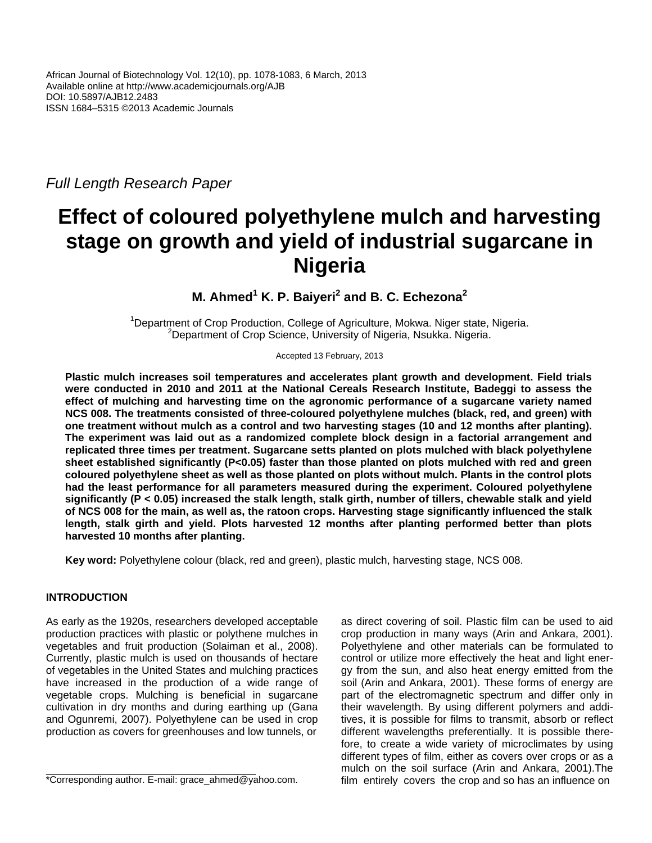*Full Length Research Paper*

# **Effect of coloured polyethylene mulch and harvesting stage on growth and yield of industrial sugarcane in Nigeria**

**M. Ahmed<sup>1</sup> K. P. Baiyeri<sup>2</sup> and B. C. Echezona<sup>2</sup>**

<sup>1</sup>Department of Crop Production, College of Agriculture, Mokwa. Niger state, Nigeria. <sup>2</sup>Department of Crop Science, University of Nigeria, Nsukka. Nigeria.

Accepted 13 February, 2013

**Plastic mulch increases soil temperatures and accelerates plant growth and development. Field trials were conducted in 2010 and 2011 at the National Cereals Research Institute, Badeggi to assess the effect of mulching and harvesting time on the agronomic performance of a sugarcane variety named NCS 008. The treatments consisted of three-coloured polyethylene mulches (black, red, and green) with one treatment without mulch as a control and two harvesting stages (10 and 12 months after planting). The experiment was laid out as a randomized complete block design in a factorial arrangement and replicated three times per treatment. Sugarcane setts planted on plots mulched with black polyethylene sheet established significantly (P<0.05) faster than those planted on plots mulched with red and green coloured polyethylene sheet as well as those planted on plots without mulch. Plants in the control plots had the least performance for all parameters measured during the experiment. Coloured polyethylene significantly (P < 0.05) increased the stalk length, stalk girth, number of tillers, chewable stalk and yield of NCS 008 for the main, as well as, the ratoon crops. Harvesting stage significantly influenced the stalk length, stalk girth and yield. Plots harvested 12 months after planting performed better than plots harvested 10 months after planting.**

**Key word:** Polyethylene colour (black, red and green), plastic mulch, harvesting stage, NCS 008.

# **INTRODUCTION**

As early as the 1920s, researchers developed acceptable production practices with plastic or polythene mulches in vegetables and fruit production (Solaiman et al., 2008). Currently, plastic mulch is used on thousands of hectare of vegetables in the United States and mulching practices have increased in the production of a wide range of vegetable crops. Mulching is beneficial in sugarcane cultivation in dry months and during earthing up (Gana and Ogunremi, 2007). Polyethylene can be used in crop production as covers for greenhouses and low tunnels, or

as direct covering of soil. Plastic film can be used to aid crop production in many ways (Arin and Ankara, 2001). Polyethylene and other materials can be formulated to control or utilize more effectively the heat and light energy from the sun, and also heat energy emitted from the soil (Arin and Ankara, 2001). These forms of energy are part of the electromagnetic spectrum and differ only in their wavelength. By using different polymers and additives, it is possible for films to transmit, absorb or reflect different wavelengths preferentially. It is possible therefore, to create a wide variety of microclimates by using different types of film, either as covers over crops or as a mulch on the soil surface (Arin and Ankara, 2001).The film entirely covers the crop and so has an influence on

<sup>\*</sup>Corresponding author. E-mail: grace\_ahmed@yahoo.com.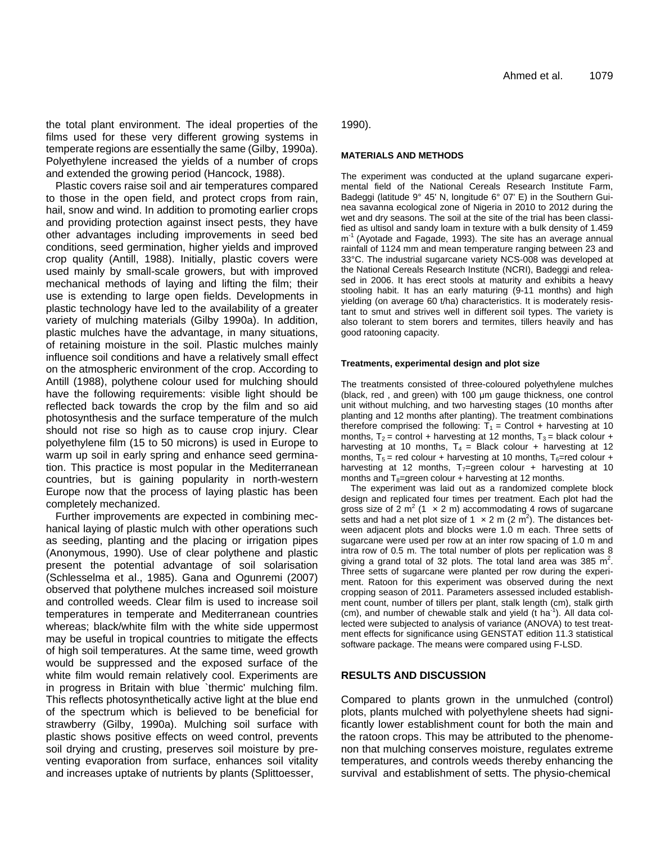the total plant environment. The ideal properties of the films used for these very different growing systems in temperate regions are essentially the same (Gilby, 1990a). Polyethylene increased the yields of a number of crops and extended the growing period (Hancock, 1988).

Plastic covers raise soil and air temperatures compared to those in the open field, and protect crops from rain, hail, snow and wind. In addition to promoting earlier crops and providing protection against insect pests, they have other advantages including improvements in seed bed conditions, seed germination, higher yields and improved crop quality (Antill, 1988). Initially, plastic covers were used mainly by small-scale growers, but with improved mechanical methods of laying and lifting the film; their use is extending to large open fields. Developments in plastic technology have led to the availability of a greater variety of mulching materials (Gilby 1990a). In addition, plastic mulches have the advantage, in many situations, of retaining moisture in the soil. Plastic mulches mainly influence soil conditions and have a relatively small effect on the atmospheric environment of the crop. According to Antill (1988), polythene colour used for mulching should have the following requirements: visible light should be reflected back towards the crop by the film and so aid photosynthesis and the surface temperature of the mulch should not rise so high as to cause crop injury. Clear polyethylene film (15 to 50 microns) is used in Europe to warm up soil in early spring and enhance seed germination. This practice is most popular in the Mediterranean countries, but is gaining popularity in north-western Europe now that the process of laying plastic has been completely mechanized.

Further improvements are expected in combining mechanical laying of plastic mulch with other operations such as seeding, planting and the placing or irrigation pipes (Anonymous, 1990). Use of clear polythene and plastic present the potential advantage of soil solarisation (Schlesselma et al., 1985). Gana and Ogunremi (2007) observed that polythene mulches increased soil moisture and controlled weeds. Clear film is used to increase soil temperatures in temperate and Mediterranean countries whereas; black/white film with the white side uppermost may be useful in tropical countries to mitigate the effects of high soil temperatures. At the same time, weed growth would be suppressed and the exposed surface of the white film would remain relatively cool. Experiments are in progress in Britain with blue `thermic' mulching film. This reflects photosynthetically active light at the blue end of the spectrum which is believed to be beneficial for strawberry (Gilby, 1990a). Mulching soil surface with plastic shows positive effects on weed control, prevents soil drying and crusting, preserves soil moisture by preventing evaporation from surface, enhances soil vitality and increases uptake of nutrients by plants (Splittoesser,

1990).

### **MATERIALS AND METHODS**

The experiment was conducted at the upland sugarcane experimental field of the National Cereals Research Institute Farm, Badeggi (latitude 9° 45' N, longitude 6° 07' E) in the Southern Guinea savanna ecological zone of Nigeria in 2010 to 2012 during the wet and dry seasons. The soil at the site of the trial has been classified as ultisol and sandy loam in texture with a bulk density of 1.459 m<sup>-1</sup> (Ayotade and Fagade, 1993). The site has an average annual rainfall of 1124 mm and mean temperature ranging between 23 and 33°C. The industrial sugarcane variety NCS-008 was developed at the National Cereals Research Institute (NCRI), Badeggi and released in 2006. It has erect stools at maturity and exhibits a heavy stooling habit. It has an early maturing (9-11 months) and high yielding (on average 60 t/ha) characteristics. It is moderately resistant to smut and strives well in different soil types. The variety is also tolerant to stem borers and termites, tillers heavily and has good ratooning capacity.

#### **Treatments, experimental design and plot size**

The treatments consisted of three-coloured polyethylene mulches (black, red , and green) with 100 μm gauge thickness, one control unit without mulching, and two harvesting stages (10 months after planting and 12 months after planting). The treatment combinations therefore comprised the following:  $T_1$  = Control + harvesting at 10 months,  $T_2$  = control + harvesting at 12 months,  $T_3$  = black colour + harvesting at 10 months,  $T_4$  = Black colour + harvesting at 12 months,  $T_5$  = red colour + harvesting at 10 months,  $T_6$ =red colour + harvesting at 12 months,  $T_7$ =green colour + harvesting at 10 months and  $T_8$ =green colour + harvesting at 12 months.

The experiment was laid out as a randomized complete block design and replicated four times per treatment. Each plot had the gross size of 2 m<sup>2</sup> (1  $\times$  2 m) accommodating 4 rows of sugarcane setts and had a net plot size of 1  $\times$  2 m (2 m<sup>2</sup>). The distances between adjacent plots and blocks were 1.0 m each. Three setts of sugarcane were used per row at an inter row spacing of 1.0 m and intra row of 0.5 m. The total number of plots per replication was 8 giving a grand total of 32 plots. The total land area was 385  $m^2$ . Three setts of sugarcane were planted per row during the experiment. Ratoon for this experiment was observed during the next cropping season of 2011. Parameters assessed included establishment count, number of tillers per plant, stalk length (cm), stalk girth (cm), and number of chewable stalk and yield  $(t \text{ ha}^{-1})$ . All data collected were subjected to analysis of variance (ANOVA) to test treatment effects for significance using GENSTAT edition 11.3 statistical software package. The means were compared using F-LSD.

# **RESULTS AND DISCUSSION**

Compared to plants grown in the unmulched (control) plots, plants mulched with polyethylene sheets had significantly lower establishment count for both the main and the ratoon crops. This may be attributed to the phenomenon that mulching conserves moisture, regulates extreme temperatures, and controls weeds thereby enhancing the survival and establishment of setts. The physio-chemical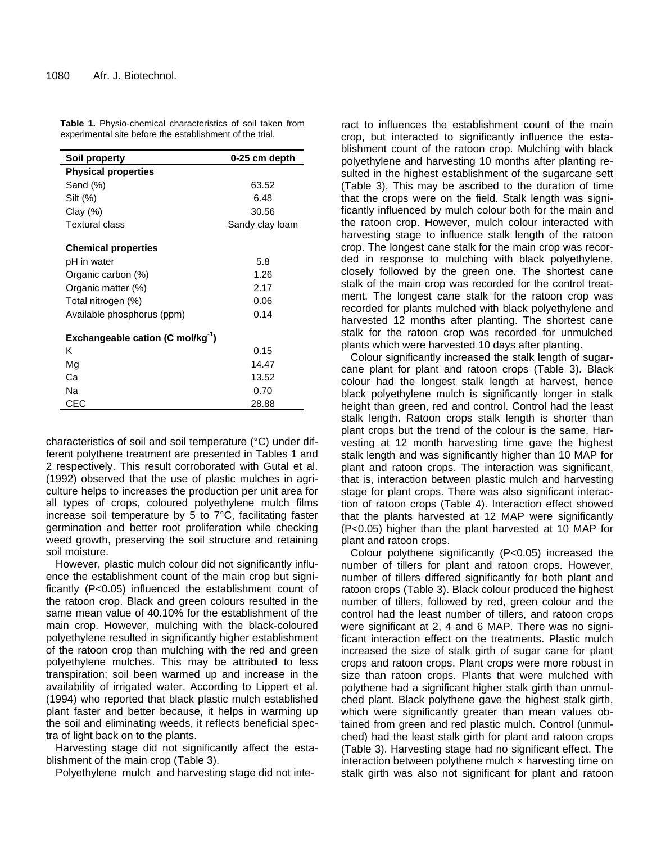| Soil property                                 | 0-25 cm depth   |
|-----------------------------------------------|-----------------|
| <b>Physical properties</b>                    |                 |
| Sand (%)                                      | 63.52           |
| Silt (%)                                      | 6.48            |
| Clay $(\%)$                                   | 30.56           |
| Textural class                                | Sandy clay loam |
| <b>Chemical properties</b>                    |                 |
| pH in water                                   | 5.8             |
| Organic carbon (%)                            | 1.26            |
| Organic matter (%)                            | 2.17            |
| Total nitrogen (%)                            | 0.06            |
| Available phosphorus (ppm)                    | 0.14            |
| Exchangeable cation (C mol/kg <sup>-1</sup> ) |                 |
| κ                                             | 0.15            |
| Mg                                            | 14.47           |
| Ca                                            | 13.52           |
| Na                                            | 0.70            |
| CEC                                           | 28.88           |

**Table 1.** Physio-chemical characteristics of soil taken from experimental site before the establishment of the trial.

characteristics of soil and soil temperature (°C) under different polythene treatment are presented in Tables 1 and 2 respectively. This result corroborated with Gutal et al. (1992) observed that the use of plastic mulches in agriculture helps to increases the production per unit area for all types of crops, coloured polyethylene mulch films increase soil temperature by 5 to 7°C, facilitating faster germination and better root proliferation while checking weed growth, preserving the soil structure and retaining soil moisture.

However, plastic mulch colour did not significantly influence the establishment count of the main crop but significantly (P<0.05) influenced the establishment count of the ratoon crop. Black and green colours resulted in the same mean value of 40.10% for the establishment of the main crop. However, mulching with the black-coloured polyethylene resulted in significantly higher establishment of the ratoon crop than mulching with the red and green polyethylene mulches. This may be attributed to less transpiration; soil been warmed up and increase in the availability of irrigated water. According to Lippert et al. (1994) who reported that black plastic mulch established plant faster and better because, it helps in warming up the soil and eliminating weeds, it reflects beneficial spectra of light back on to the plants.

Harvesting stage did not significantly affect the establishment of the main crop (Table 3).

Polyethylene mulch and harvesting stage did not inte-

ract to influences the establishment count of the main crop, but interacted to significantly influence the establishment count of the ratoon crop. Mulching with black polyethylene and harvesting 10 months after planting resulted in the highest establishment of the sugarcane sett (Table 3). This may be ascribed to the duration of time that the crops were on the field. Stalk length was significantly influenced by mulch colour both for the main and the ratoon crop. However, mulch colour interacted with harvesting stage to influence stalk length of the ratoon crop. The longest cane stalk for the main crop was recorded in response to mulching with black polyethylene, closely followed by the green one. The shortest cane stalk of the main crop was recorded for the control treatment. The longest cane stalk for the ratoon crop was recorded for plants mulched with black polyethylene and harvested 12 months after planting. The shortest cane stalk for the ratoon crop was recorded for unmulched plants which were harvested 10 days after planting.

Colour significantly increased the stalk length of sugarcane plant for plant and ratoon crops (Table 3). Black colour had the longest stalk length at harvest, hence black polyethylene mulch is significantly longer in stalk height than green, red and control. Control had the least stalk length. Ratoon crops stalk length is shorter than plant crops but the trend of the colour is the same. Harvesting at 12 month harvesting time gave the highest stalk length and was significantly higher than 10 MAP for plant and ratoon crops. The interaction was significant, that is, interaction between plastic mulch and harvesting stage for plant crops. There was also significant interaction of ratoon crops (Table 4). Interaction effect showed that the plants harvested at 12 MAP were significantly (P<0.05) higher than the plant harvested at 10 MAP for plant and ratoon crops.

Colour polythene significantly (P<0.05) increased the number of tillers for plant and ratoon crops. However, number of tillers differed significantly for both plant and ratoon crops (Table 3). Black colour produced the highest number of tillers, followed by red, green colour and the control had the least number of tillers, and ratoon crops were significant at 2, 4 and 6 MAP. There was no significant interaction effect on the treatments. Plastic mulch increased the size of stalk girth of sugar cane for plant crops and ratoon crops. Plant crops were more robust in size than ratoon crops. Plants that were mulched with polythene had a significant higher stalk girth than unmulched plant. Black polythene gave the highest stalk girth, which were significantly greater than mean values obtained from green and red plastic mulch. Control (unmulched) had the least stalk girth for plant and ratoon crops (Table 3). Harvesting stage had no significant effect. The interaction between polythene mulch  $\times$  harvesting time on stalk girth was also not significant for plant and ratoon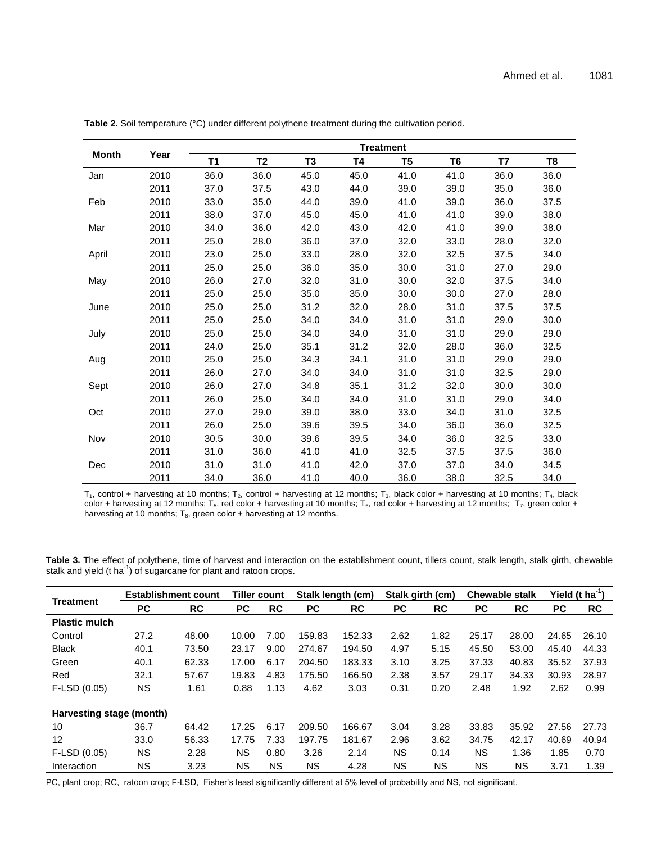|              | Year | <b>Treatment</b> |           |                |      |                |                |      |                |  |  |
|--------------|------|------------------|-----------|----------------|------|----------------|----------------|------|----------------|--|--|
| <b>Month</b> |      | <b>T1</b>        | <b>T2</b> | T <sub>3</sub> | T4   | T <sub>5</sub> | T <sub>6</sub> | T7   | T <sub>8</sub> |  |  |
| Jan          | 2010 | 36.0             | 36.0      | 45.0           | 45.0 | 41.0           | 41.0           | 36.0 | 36.0           |  |  |
|              | 2011 | 37.0             | 37.5      | 43.0           | 44.0 | 39.0           | 39.0           | 35.0 | 36.0           |  |  |
| Feb          | 2010 | 33.0             | 35.0      | 44.0           | 39.0 | 41.0           | 39.0           | 36.0 | 37.5           |  |  |
|              | 2011 | 38.0             | 37.0      | 45.0           | 45.0 | 41.0           | 41.0           | 39.0 | 38.0           |  |  |
| Mar          | 2010 | 34.0             | 36.0      | 42.0           | 43.0 | 42.0           | 41.0           | 39.0 | 38.0           |  |  |
|              | 2011 | 25.0             | 28.0      | 36.0           | 37.0 | 32.0           | 33.0           | 28.0 | 32.0           |  |  |
| April        | 2010 | 23.0             | 25.0      | 33.0           | 28.0 | 32.0           | 32.5           | 37.5 | 34.0           |  |  |
|              | 2011 | 25.0             | 25.0      | 36.0           | 35.0 | 30.0           | 31.0           | 27.0 | 29.0           |  |  |
| May          | 2010 | 26.0             | 27.0      | 32.0           | 31.0 | 30.0           | 32.0           | 37.5 | 34.0           |  |  |
|              | 2011 | 25.0             | 25.0      | 35.0           | 35.0 | 30.0           | 30.0           | 27.0 | 28.0           |  |  |
| June         | 2010 | 25.0             | 25.0      | 31.2           | 32.0 | 28.0           | 31.0           | 37.5 | 37.5           |  |  |
|              | 2011 | 25.0             | 25.0      | 34.0           | 34.0 | 31.0           | 31.0           | 29.0 | 30.0           |  |  |
| July         | 2010 | 25.0             | 25.0      | 34.0           | 34.0 | 31.0           | 31.0           | 29.0 | 29.0           |  |  |
|              | 2011 | 24.0             | 25.0      | 35.1           | 31.2 | 32.0           | 28.0           | 36.0 | 32.5           |  |  |
| Aug          | 2010 | 25.0             | 25.0      | 34.3           | 34.1 | 31.0           | 31.0           | 29.0 | 29.0           |  |  |
|              | 2011 | 26.0             | 27.0      | 34.0           | 34.0 | 31.0           | 31.0           | 32.5 | 29.0           |  |  |
| Sept         | 2010 | 26.0             | 27.0      | 34.8           | 35.1 | 31.2           | 32.0           | 30.0 | 30.0           |  |  |
|              | 2011 | 26.0             | 25.0      | 34.0           | 34.0 | 31.0           | 31.0           | 29.0 | 34.0           |  |  |
| Oct          | 2010 | 27.0             | 29.0      | 39.0           | 38.0 | 33.0           | 34.0           | 31.0 | 32.5           |  |  |
|              | 2011 | 26.0             | 25.0      | 39.6           | 39.5 | 34.0           | 36.0           | 36.0 | 32.5           |  |  |
| Nov          | 2010 | 30.5             | 30.0      | 39.6           | 39.5 | 34.0           | 36.0           | 32.5 | 33.0           |  |  |
|              | 2011 | 31.0             | 36.0      | 41.0           | 41.0 | 32.5           | 37.5           | 37.5 | 36.0           |  |  |
| Dec          | 2010 | 31.0             | 31.0      | 41.0           | 42.0 | 37.0           | 37.0           | 34.0 | 34.5           |  |  |
|              | 2011 | 34.0             | 36.0      | 41.0           | 40.0 | 36.0           | 38.0           | 32.5 | 34.0           |  |  |

**Table 2.** Soil temperature (°C) under different polythene treatment during the cultivation period.

 $T_1$ , control + harvesting at 10 months;  $T_2$ , control + harvesting at 12 months;  $T_3$ , black color + harvesting at 10 months;  $T_4$ , black color + harvesting at 12 months; T<sub>5</sub>, red color + harvesting at 10 months; T<sub>6</sub>, red color + harvesting at 12 months; T<sub>7</sub>, green color + harvesting at 10 months;  $T_8$ , green color + harvesting at 12 months.

**Table 3.** The effect of polythene, time of harvest and interaction on the establishment count, tillers count, stalk length, stalk girth, chewable stalk and yield (t ha $^{-1}$ ) of sugarcane for plant and ratoon crops.

|                          | <b>Establishment count</b> |           | <b>Tiller count</b> |           | Stalk length (cm) |           | Stalk girth (cm) |           | <b>Chewable stalk</b> |           | Yield ( $t$ ha <sup>-1</sup> ) |       |
|--------------------------|----------------------------|-----------|---------------------|-----------|-------------------|-----------|------------------|-----------|-----------------------|-----------|--------------------------------|-------|
| <b>Treatment</b>         | <b>PC</b>                  | <b>RC</b> | <b>PC</b>           | <b>RC</b> | <b>PC</b>         | <b>RC</b> | <b>PC</b>        | <b>RC</b> | <b>PC</b>             | <b>RC</b> | <b>PC</b>                      | RC    |
| <b>Plastic mulch</b>     |                            |           |                     |           |                   |           |                  |           |                       |           |                                |       |
| Control                  | 27.2                       | 48.00     | 10.00               | 7.00      | 159.83            | 152.33    | 2.62             | 1.82      | 25.17                 | 28.00     | 24.65                          | 26.10 |
| <b>Black</b>             | 40.1                       | 73.50     | 23.17               | 9.00      | 274.67            | 194.50    | 4.97             | 5.15      | 45.50                 | 53.00     | 45.40                          | 44.33 |
| Green                    | 40.1                       | 62.33     | 17.00               | 6.17      | 204.50            | 183.33    | 3.10             | 3.25      | 37.33                 | 40.83     | 35.52                          | 37.93 |
| Red                      | 32.1                       | 57.67     | 19.83               | 4.83      | 175.50            | 166.50    | 2.38             | 3.57      | 29.17                 | 34.33     | 30.93                          | 28.97 |
| F-LSD (0.05)             | <b>NS</b>                  | 1.61      | 0.88                | 1.13      | 4.62              | 3.03      | 0.31             | 0.20      | 2.48                  | 1.92      | 2.62                           | 0.99  |
| Harvesting stage (month) |                            |           |                     |           |                   |           |                  |           |                       |           |                                |       |
| 10                       | 36.7                       | 64.42     | 17.25               | 6.17      | 209.50            | 166.67    | 3.04             | 3.28      | 33.83                 | 35.92     | 27.56                          | 27.73 |
| 12                       | 33.0                       | 56.33     | 17.75               | 7.33      | 197.75            | 181.67    | 2.96             | 3.62      | 34.75                 | 42.17     | 40.69                          | 40.94 |
| F-LSD (0.05)             | <b>NS</b>                  | 2.28      | <b>NS</b>           | 0.80      | 3.26              | 2.14      | <b>NS</b>        | 0.14      | <b>NS</b>             | 1.36      | 1.85                           | 0.70  |
| Interaction              | <b>NS</b>                  | 3.23      | <b>NS</b>           | <b>NS</b> | <b>NS</b>         | 4.28      | <b>NS</b>        | ΝS        | <b>NS</b>             | ΝS        | 3.71                           | 1.39  |

PC, plant crop; RC, ratoon crop; F-LSD, Fisher's least significantly different at 5% level of probability and NS, not significant.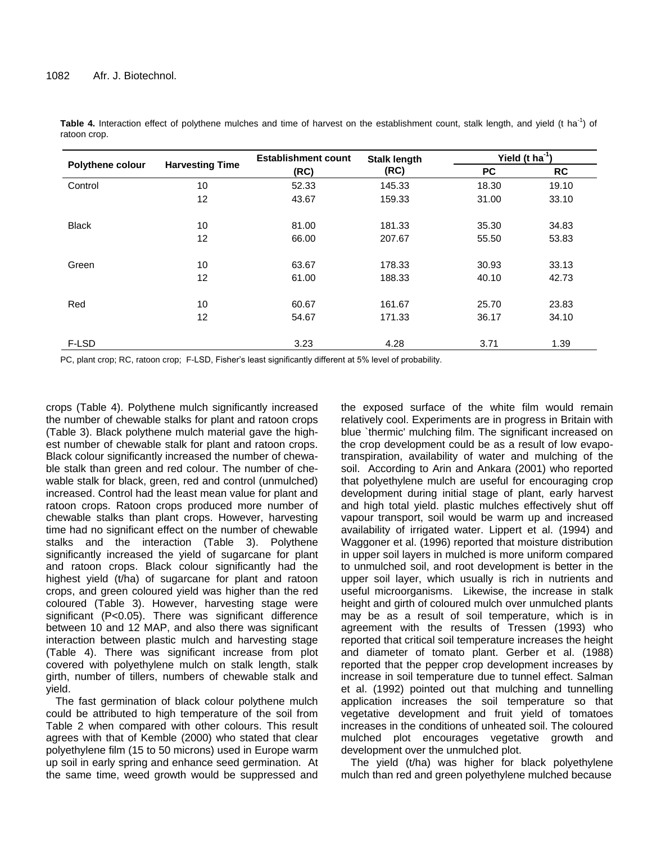|                  |                        | <b>Establishment count</b> | <b>Stalk length</b> | Yield ( $t$ ha <sup>-1</sup> ) |           |  |  |
|------------------|------------------------|----------------------------|---------------------|--------------------------------|-----------|--|--|
| Polythene colour | <b>Harvesting Time</b> | (RC)                       | (RC)                | <b>PC</b>                      | <b>RC</b> |  |  |
| Control          | 10                     | 52.33                      | 145.33              | 18.30                          | 19.10     |  |  |
|                  | 12                     | 43.67                      | 159.33              | 31.00                          | 33.10     |  |  |
| <b>Black</b>     | 10                     | 81.00                      | 181.33              | 35.30                          | 34.83     |  |  |
|                  | 12                     | 66.00                      | 207.67              | 55.50                          | 53.83     |  |  |
| Green            | 10                     | 63.67                      | 178.33              | 30.93                          | 33.13     |  |  |
|                  | 12                     | 61.00                      | 188.33              | 40.10                          | 42.73     |  |  |
| Red              | 10                     | 60.67                      | 161.67              | 25.70                          | 23.83     |  |  |
|                  | 12                     | 54.67                      | 171.33              | 36.17                          | 34.10     |  |  |
| F-LSD            |                        | 3.23                       | 4.28                | 3.71                           | 1.39      |  |  |

Table 4. Interaction effect of polythene mulches and time of harvest on the establishment count, stalk length, and yield (t ha<sup>-1</sup>) of ratoon crop.

PC, plant crop; RC, ratoon crop; F-LSD, Fisher's least significantly different at 5% level of probability.

crops (Table 4). Polythene mulch significantly increased the number of chewable stalks for plant and ratoon crops (Table 3). Black polythene mulch material gave the highest number of chewable stalk for plant and ratoon crops. Black colour significantly increased the number of chewable stalk than green and red colour. The number of chewable stalk for black, green, red and control (unmulched) increased. Control had the least mean value for plant and ratoon crops. Ratoon crops produced more number of chewable stalks than plant crops. However, harvesting time had no significant effect on the number of chewable stalks and the interaction (Table 3). Polythene significantly increased the yield of sugarcane for plant and ratoon crops. Black colour significantly had the highest yield (t/ha) of sugarcane for plant and ratoon crops, and green coloured yield was higher than the red coloured (Table 3). However, harvesting stage were significant (P<0.05). There was significant difference between 10 and 12 MAP, and also there was significant interaction between plastic mulch and harvesting stage (Table 4). There was significant increase from plot covered with polyethylene mulch on stalk length, stalk girth, number of tillers, numbers of chewable stalk and yield.

The fast germination of black colour polythene mulch could be attributed to high temperature of the soil from Table 2 when compared with other colours. This result agrees with that of Kemble (2000) who stated that clear polyethylene film (15 to 50 microns) used in Europe warm up soil in early spring and enhance seed germination. At the same time, weed growth would be suppressed and

the exposed surface of the white film would remain relatively cool. Experiments are in progress in Britain with blue 'thermic' mulching film. The significant increased on the crop development could be as a result of low evapotranspiration, availability of water and mulching of the soil. According to Arin and Ankara (2001) who reported that polyethylene mulch are useful for encouraging crop development during initial stage of plant, early harvest and high total yield. plastic mulches effectively shut off vapour transport, soil would be warm up and increased availability of irrigated water. Lippert et al. (1994) and Waggoner et al. (1996) reported that moisture distribution in upper soil layers in mulched is more uniform compared to unmulched soil, and root development is better in the upper soil layer, which usually is rich in nutrients and useful microorganisms. Likewise, the increase in stalk height and girth of coloured mulch over unmulched plants may be as a result of soil temperature, which is in agreement with the results of Tressen (1993) who reported that critical soil temperature increases the height and diameter of tomato plant. Gerber et al. (1988) reported that the pepper crop development increases by increase in soil temperature due to tunnel effect. Salman et al. (1992) pointed out that mulching and tunnelling application increases the soil temperature so that vegetative development and fruit yield of tomatoes increases in the conditions of unheated soil. The coloured mulched plot encourages vegetative growth and development over the unmulched plot.

The yield (t/ha) was higher for black polyethylene mulch than red and green polyethylene mulched because